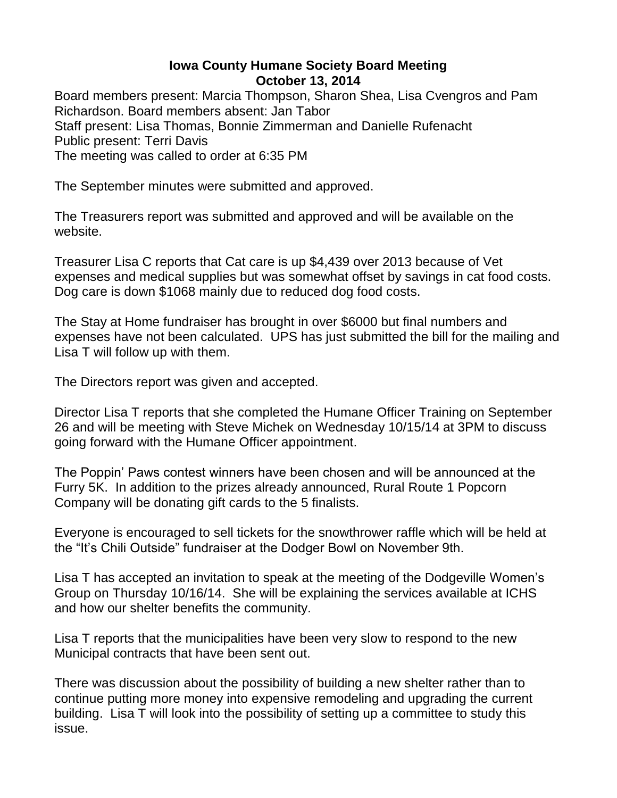## **Iowa County Humane Society Board Meeting October 13, 2014**

Board members present: Marcia Thompson, Sharon Shea, Lisa Cvengros and Pam Richardson. Board members absent: Jan Tabor Staff present: Lisa Thomas, Bonnie Zimmerman and Danielle Rufenacht Public present: Terri Davis The meeting was called to order at 6:35 PM

The September minutes were submitted and approved.

The Treasurers report was submitted and approved and will be available on the website.

Treasurer Lisa C reports that Cat care is up \$4,439 over 2013 because of Vet expenses and medical supplies but was somewhat offset by savings in cat food costs. Dog care is down \$1068 mainly due to reduced dog food costs.

The Stay at Home fundraiser has brought in over \$6000 but final numbers and expenses have not been calculated. UPS has just submitted the bill for the mailing and Lisa T will follow up with them.

The Directors report was given and accepted.

Director Lisa T reports that she completed the Humane Officer Training on September 26 and will be meeting with Steve Michek on Wednesday 10/15/14 at 3PM to discuss going forward with the Humane Officer appointment.

The Poppin' Paws contest winners have been chosen and will be announced at the Furry 5K. In addition to the prizes already announced, Rural Route 1 Popcorn Company will be donating gift cards to the 5 finalists.

Everyone is encouraged to sell tickets for the snowthrower raffle which will be held at the "It's Chili Outside" fundraiser at the Dodger Bowl on November 9th.

Lisa T has accepted an invitation to speak at the meeting of the Dodgeville Women's Group on Thursday 10/16/14. She will be explaining the services available at ICHS and how our shelter benefits the community.

Lisa T reports that the municipalities have been very slow to respond to the new Municipal contracts that have been sent out.

There was discussion about the possibility of building a new shelter rather than to continue putting more money into expensive remodeling and upgrading the current building. Lisa T will look into the possibility of setting up a committee to study this issue.